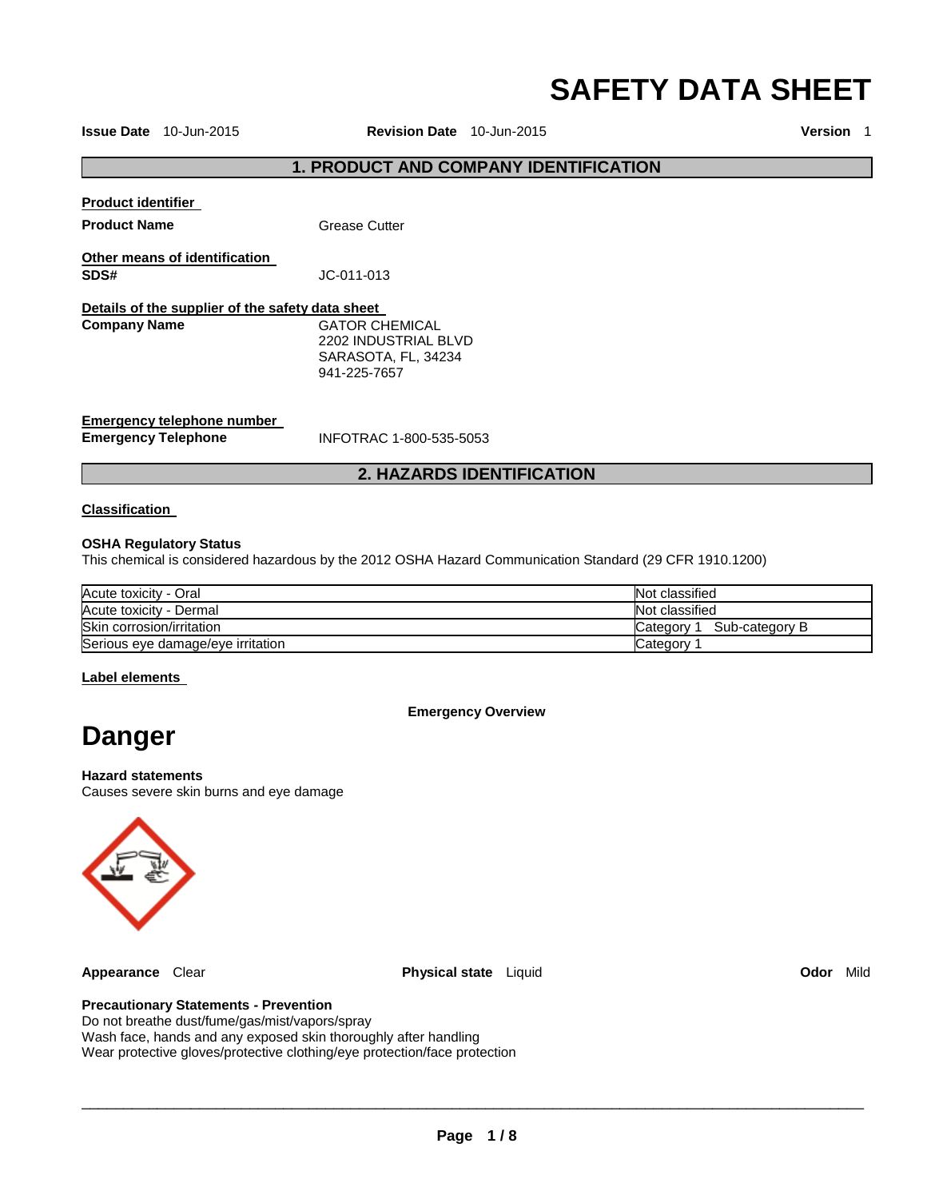# **SAFETY DATA SHEET**

**Issue Date** 10-Jun-2015 **Revision Date** 10-Jun-2015 **Version** 1

# **1. PRODUCT AND COMPANY IDENTIFICATION**

**Product identifier** 

**Product Name Grease Cutter** 

**Other means of identification SDS#** JC-011-013

**Details of the supplier of the safety data sheet Company Name GATOR CHEMICAL** 2202 INDUSTRIAL BLVD SARASOTA, FL, 34234 941-225-7657

**Emergency telephone number** 

**Emergency Telephone** INFOTRAC 1-800-535-5053

# **2. HAZARDS IDENTIFICATION**

#### **Classification**

#### **OSHA Regulatory Status**

This chemical is considered hazardous by the 2012 OSHA Hazard Communication Standard (29 CFR 1910.1200)

| Acute toxicity - Oral             | Not classified               |
|-----------------------------------|------------------------------|
| Acute toxicity - Dermal           | Not classified               |
| Skin corrosion/irritation         | Sub-category B<br>Category 1 |
| Serious eye damage/eye irritation | Category                     |

### **Label elements**

#### **Emergency Overview**

# **Danger**

**Hazard statements** Causes severe skin burns and eye damage



**Appearance** Clear **Physical state** Liquid **Odor** Mild

### **Precautionary Statements - Prevention**

Do not breathe dust/fume/gas/mist/vapors/spray Wash face, hands and any exposed skin thoroughly after handling Wear protective gloves/protective clothing/eye protection/face protection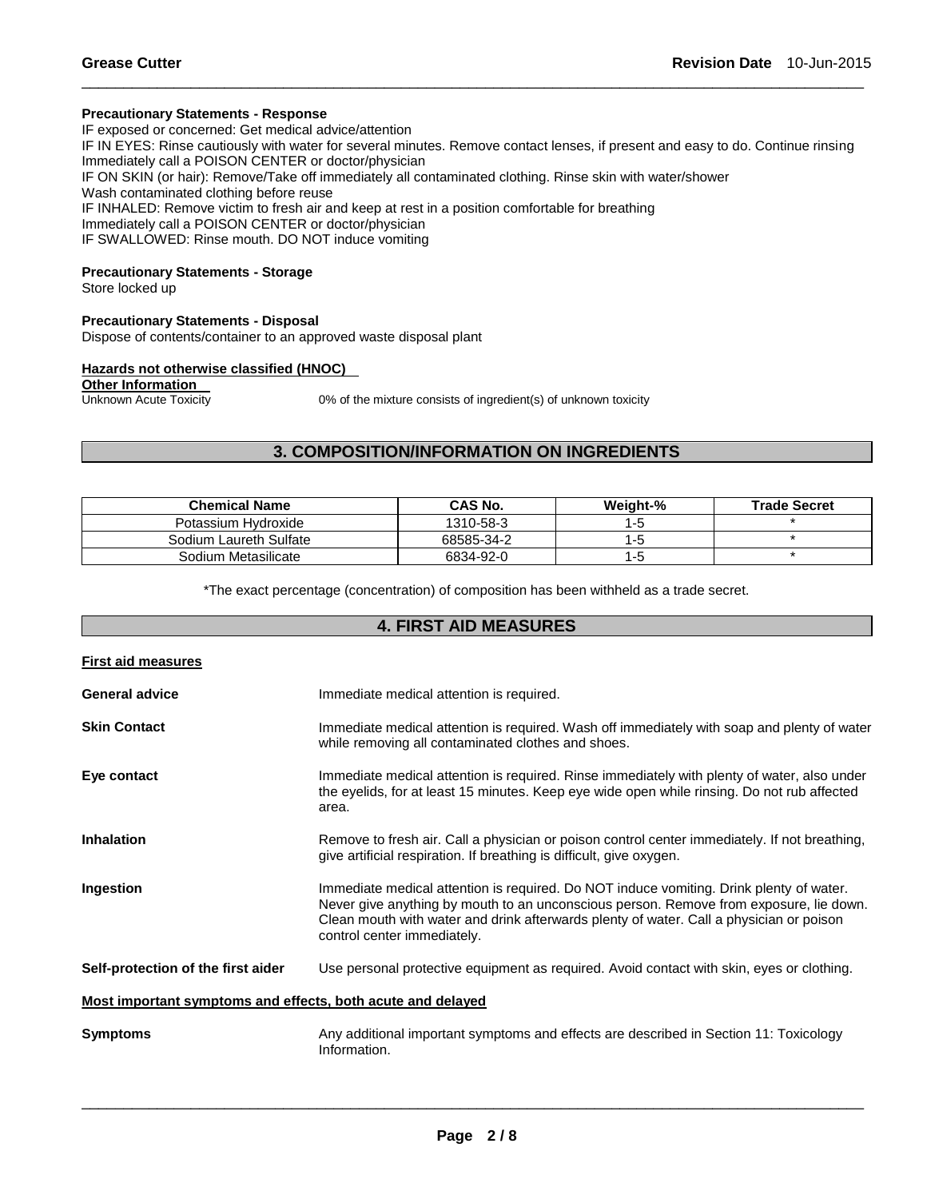# **Precautionary Statements - Response**

IF exposed or concerned: Get medical advice/attention IF IN EYES: Rinse cautiously with water for several minutes. Remove contact lenses, if present and easy to do. Continue rinsing Immediately call a POISON CENTER or doctor/physician IF ON SKIN (or hair): Remove/Take off immediately all contaminated clothing. Rinse skin with water/shower Wash contaminated clothing before reuse IF INHALED: Remove victim to fresh air and keep at rest in a position comfortable for breathing Immediately call a POISON CENTER or doctor/physician IF SWALLOWED: Rinse mouth. DO NOT induce vomiting

\_\_\_\_\_\_\_\_\_\_\_\_\_\_\_\_\_\_\_\_\_\_\_\_\_\_\_\_\_\_\_\_\_\_\_\_\_\_\_\_\_\_\_\_\_\_\_\_\_\_\_\_\_\_\_\_\_\_\_\_\_\_\_\_\_\_\_\_\_\_\_\_\_\_\_\_\_\_\_\_\_\_\_\_\_\_\_\_\_\_\_\_\_

# **Precautionary Statements - Storage**

Store locked up

#### **Precautionary Statements - Disposal**

Dispose of contents/container to an approved waste disposal plant

# **Hazards not otherwise classified (HNOC)**

**Other Information**<br>Unknown Acute Toxicity

0% of the mixture consists of ingredient(s) of unknown toxicity

# **3. COMPOSITION/INFORMATION ON INGREDIENTS**

| <b>Chemical Name</b>   | CAS No.    | Weight-% | <b>Trade Secret</b> |
|------------------------|------------|----------|---------------------|
| Potassium Hydroxide    | 1310-58-3  | 1-5      |                     |
| Sodium Laureth Sulfate | 68585-34-2 | l-t      |                     |
| Sodium Metasilicate    | 6834-92-0  | ם- ו     |                     |

\*The exact percentage (concentration) of composition has been withheld as a trade secret.

# **4. FIRST AID MEASURES**

| <b>First aid measures</b>                                   |                                                                                                                                                                                                                                                                                                             |  |
|-------------------------------------------------------------|-------------------------------------------------------------------------------------------------------------------------------------------------------------------------------------------------------------------------------------------------------------------------------------------------------------|--|
| <b>General advice</b>                                       | Immediate medical attention is required.                                                                                                                                                                                                                                                                    |  |
| <b>Skin Contact</b>                                         | Immediate medical attention is required. Wash off immediately with soap and plenty of water<br>while removing all contaminated clothes and shoes.                                                                                                                                                           |  |
| Eye contact                                                 | Immediate medical attention is required. Rinse immediately with plenty of water, also under<br>the eyelids, for at least 15 minutes. Keep eye wide open while rinsing. Do not rub affected<br>area.                                                                                                         |  |
| <b>Inhalation</b>                                           | Remove to fresh air. Call a physician or poison control center immediately. If not breathing,<br>give artificial respiration. If breathing is difficult, give oxygen.                                                                                                                                       |  |
| Ingestion                                                   | Immediate medical attention is required. Do NOT induce vomiting. Drink plenty of water.<br>Never give anything by mouth to an unconscious person. Remove from exposure, lie down.<br>Clean mouth with water and drink afterwards plenty of water. Call a physician or poison<br>control center immediately. |  |
| Self-protection of the first aider                          | Use personal protective equipment as required. Avoid contact with skin, eyes or clothing.                                                                                                                                                                                                                   |  |
| Most important symptoms and effects, both acute and delayed |                                                                                                                                                                                                                                                                                                             |  |
| <b>Symptoms</b>                                             | Any additional important symptoms and effects are described in Section 11: Toxicology<br>Information.                                                                                                                                                                                                       |  |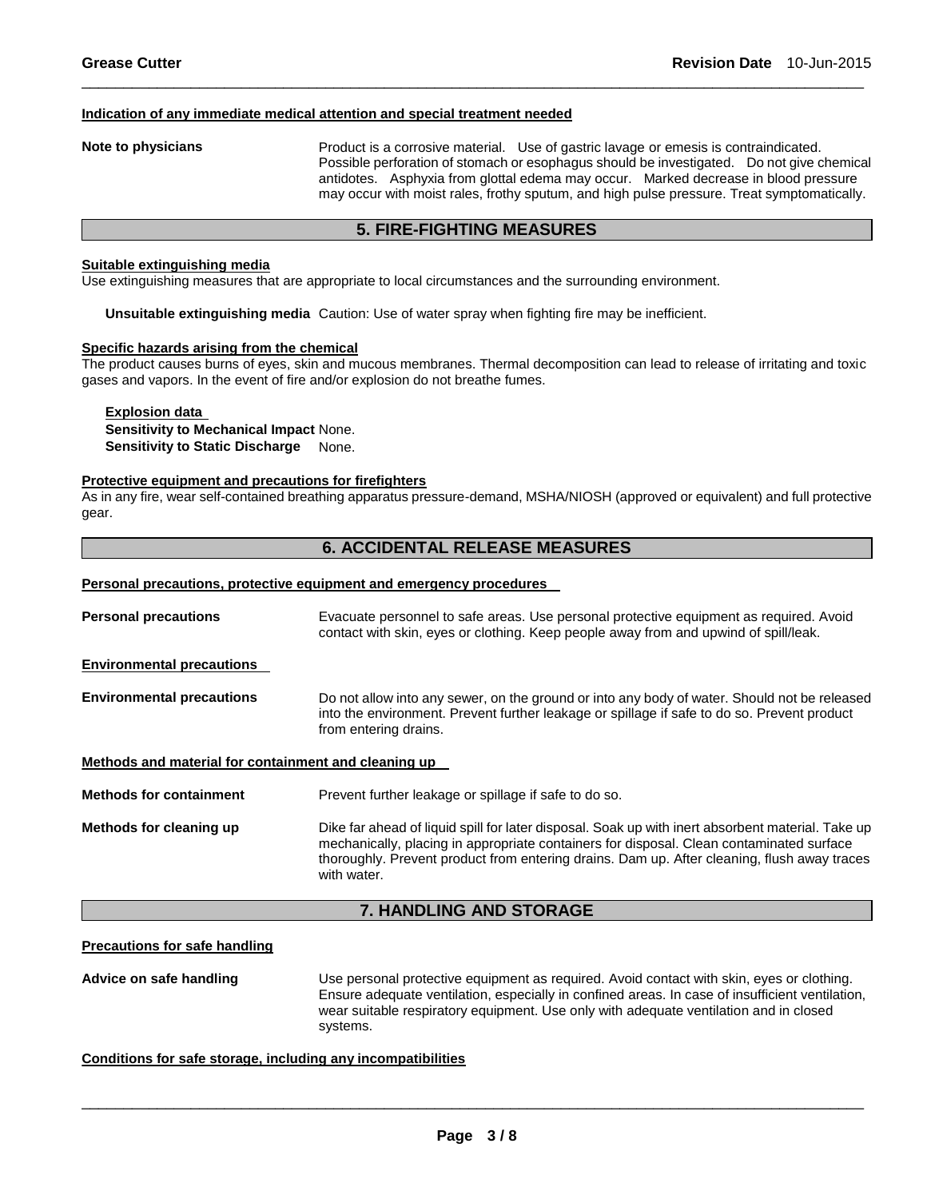#### **Indication of any immediate medical attention and special treatment needed**

**Note to physicians** Product is a corrosive material. Use of gastric lavage or emesis is contraindicated. Possible perforation of stomach or esophagus should be investigated. Do not give chemical antidotes. Asphyxia from glottal edema may occur. Marked decrease in blood pressure may occur with moist rales, frothy sputum, and high pulse pressure. Treat symptomatically.

# **5. FIRE-FIGHTING MEASURES**

\_\_\_\_\_\_\_\_\_\_\_\_\_\_\_\_\_\_\_\_\_\_\_\_\_\_\_\_\_\_\_\_\_\_\_\_\_\_\_\_\_\_\_\_\_\_\_\_\_\_\_\_\_\_\_\_\_\_\_\_\_\_\_\_\_\_\_\_\_\_\_\_\_\_\_\_\_\_\_\_\_\_\_\_\_\_\_\_\_\_\_\_\_

#### **Suitable extinguishing media**

Use extinguishing measures that are appropriate to local circumstances and the surrounding environment.

**Unsuitable extinguishing media** Caution: Use of water spray when fighting fire may be inefficient.

#### **Specific hazards arising from the chemical**

The product causes burns of eyes, skin and mucous membranes. Thermal decomposition can lead to release of irritating and toxic gases and vapors. In the event of fire and/or explosion do not breathe fumes.

# **Explosion data Sensitivity to Mechanical Impact** None. **Sensitivity to Static Discharge** None.

#### **Protective equipment and precautions for firefighters**

As in any fire, wear self-contained breathing apparatus pressure-demand, MSHA/NIOSH (approved or equivalent) and full protective gear.

# **6. ACCIDENTAL RELEASE MEASURES**

#### **Personal precautions, protective equipment and emergency procedures**

| <b>Personal precautions</b>                          | Evacuate personnel to safe areas. Use personal protective equipment as required. Avoid<br>contact with skin, eyes or clothing. Keep people away from and upwind of spill/leak.                                                                                                                              |  |
|------------------------------------------------------|-------------------------------------------------------------------------------------------------------------------------------------------------------------------------------------------------------------------------------------------------------------------------------------------------------------|--|
| <b>Environmental precautions</b>                     |                                                                                                                                                                                                                                                                                                             |  |
| <b>Environmental precautions</b>                     | Do not allow into any sewer, on the ground or into any body of water. Should not be released<br>into the environment. Prevent further leakage or spillage if safe to do so. Prevent product<br>from entering drains.                                                                                        |  |
| Methods and material for containment and cleaning up |                                                                                                                                                                                                                                                                                                             |  |
| <b>Methods for containment</b>                       | Prevent further leakage or spillage if safe to do so.                                                                                                                                                                                                                                                       |  |
| Methods for cleaning up                              | Dike far ahead of liquid spill for later disposal. Soak up with inert absorbent material. Take up<br>mechanically, placing in appropriate containers for disposal. Clean contaminated surface<br>thoroughly. Prevent product from entering drains. Dam up. After cleaning, flush away traces<br>with water. |  |

# **7. HANDLING AND STORAGE**

#### **Precautions for safe handling**

**Advice on safe handling** Use personal protective equipment as required. Avoid contact with skin, eyes or clothing. Ensure adequate ventilation, especially in confined areas. In case of insufficient ventilation, wear suitable respiratory equipment. Use only with adequate ventilation and in closed systems.

#### **Conditions for safe storage, including any incompatibilities**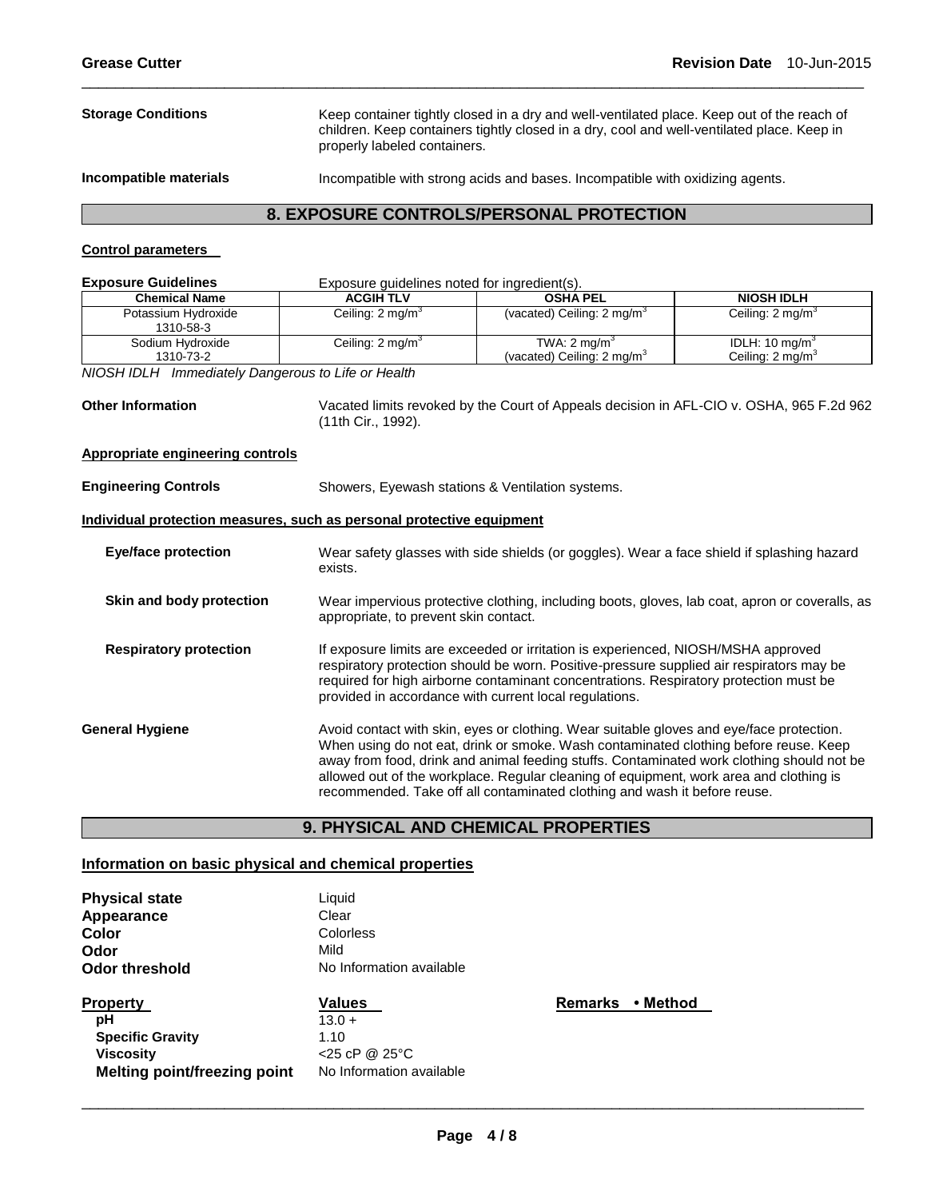**Storage Conditions** Keep container tightly closed in a dry and well-ventilated place. Keep out of the reach of children. Keep containers tightly closed in a dry, cool and well-ventilated place. Keep in properly labeled containers. **Incompatible materials** Incompatible with strong acids and bases. Incompatible with oxidizing agents.

\_\_\_\_\_\_\_\_\_\_\_\_\_\_\_\_\_\_\_\_\_\_\_\_\_\_\_\_\_\_\_\_\_\_\_\_\_\_\_\_\_\_\_\_\_\_\_\_\_\_\_\_\_\_\_\_\_\_\_\_\_\_\_\_\_\_\_\_\_\_\_\_\_\_\_\_\_\_\_\_\_\_\_\_\_\_\_\_\_\_\_\_\_

# **8. EXPOSURE CONTROLS/PERSONAL PROTECTION**

# **Control parameters**

| <b>Exposure Guidelines</b>                                            | Exposure guidelines noted for ingredient(s).                                                                                                                                                                                                                                                                                     |                                                                                                                                                                                                                                                                                                                                                                                                                                                      |                                                          |  |
|-----------------------------------------------------------------------|----------------------------------------------------------------------------------------------------------------------------------------------------------------------------------------------------------------------------------------------------------------------------------------------------------------------------------|------------------------------------------------------------------------------------------------------------------------------------------------------------------------------------------------------------------------------------------------------------------------------------------------------------------------------------------------------------------------------------------------------------------------------------------------------|----------------------------------------------------------|--|
| <b>Chemical Name</b>                                                  | <b>ACGIH TLV</b>                                                                                                                                                                                                                                                                                                                 | <b>OSHA PEL</b>                                                                                                                                                                                                                                                                                                                                                                                                                                      | <b>NIOSH IDLH</b>                                        |  |
| Potassium Hydroxide<br>1310-58-3                                      | Ceiling: 2 mg/m <sup>3</sup>                                                                                                                                                                                                                                                                                                     | (vacated) Ceiling: $2 \text{ mg/m}^3$                                                                                                                                                                                                                                                                                                                                                                                                                | Ceiling: 2 mg/m <sup>3</sup>                             |  |
| Sodium Hydroxide<br>1310-73-2                                         | Ceiling: 2 mg/m <sup>3</sup>                                                                                                                                                                                                                                                                                                     | TWA: $2 \text{ mg/m}^3$<br>(vacated) Ceiling: 2 mg/m <sup>3</sup>                                                                                                                                                                                                                                                                                                                                                                                    | IDLH: $10 \text{ mg/m}^3$<br>Ceiling: $2 \text{ mg/m}^3$ |  |
| NIOSH IDLH Immediately Dangerous to Life or Health                    |                                                                                                                                                                                                                                                                                                                                  |                                                                                                                                                                                                                                                                                                                                                                                                                                                      |                                                          |  |
| <b>Other Information</b>                                              | (11th Cir., 1992).                                                                                                                                                                                                                                                                                                               | Vacated limits revoked by the Court of Appeals decision in AFL-CIO v. OSHA, 965 F.2d 962                                                                                                                                                                                                                                                                                                                                                             |                                                          |  |
| <b>Appropriate engineering controls</b>                               |                                                                                                                                                                                                                                                                                                                                  |                                                                                                                                                                                                                                                                                                                                                                                                                                                      |                                                          |  |
| <b>Engineering Controls</b>                                           |                                                                                                                                                                                                                                                                                                                                  | Showers, Eyewash stations & Ventilation systems.                                                                                                                                                                                                                                                                                                                                                                                                     |                                                          |  |
| Individual protection measures, such as personal protective equipment |                                                                                                                                                                                                                                                                                                                                  |                                                                                                                                                                                                                                                                                                                                                                                                                                                      |                                                          |  |
| <b>Eye/face protection</b>                                            | exists.                                                                                                                                                                                                                                                                                                                          | Wear safety glasses with side shields (or goggles). Wear a face shield if splashing hazard                                                                                                                                                                                                                                                                                                                                                           |                                                          |  |
| Skin and body protection                                              | Wear impervious protective clothing, including boots, gloves, lab coat, apron or coveralls, as<br>appropriate, to prevent skin contact.                                                                                                                                                                                          |                                                                                                                                                                                                                                                                                                                                                                                                                                                      |                                                          |  |
| <b>Respiratory protection</b>                                         | If exposure limits are exceeded or irritation is experienced, NIOSH/MSHA approved<br>respiratory protection should be worn. Positive-pressure supplied air respirators may be<br>required for high airborne contaminant concentrations. Respiratory protection must be<br>provided in accordance with current local regulations. |                                                                                                                                                                                                                                                                                                                                                                                                                                                      |                                                          |  |
| <b>General Hygiene</b>                                                |                                                                                                                                                                                                                                                                                                                                  | Avoid contact with skin, eyes or clothing. Wear suitable gloves and eye/face protection.<br>When using do not eat, drink or smoke. Wash contaminated clothing before reuse. Keep<br>away from food, drink and animal feeding stuffs. Contaminated work clothing should not be<br>allowed out of the workplace. Regular cleaning of equipment, work area and clothing is<br>recommended. Take off all contaminated clothing and wash it before reuse. |                                                          |  |

# **9. PHYSICAL AND CHEMICAL PROPERTIES**

# **Information on basic physical and chemical properties**

| <b>Physical state</b>        | Liquid                     |
|------------------------------|----------------------------|
| Appearance                   | Clear                      |
| Color                        | Colorless                  |
| Odor                         | Mild                       |
| Odor threshold               | No Information available   |
| <b>Property</b>              | <b>Values</b>              |
| рH                           | $13.0 +$                   |
| <b>Specific Gravity</b>      | 1.10                       |
| Viscosity                    | $<$ 25 cP @ 25 $\degree$ C |
| Melting point/freezing point | No Information available   |

**Remarks • Method**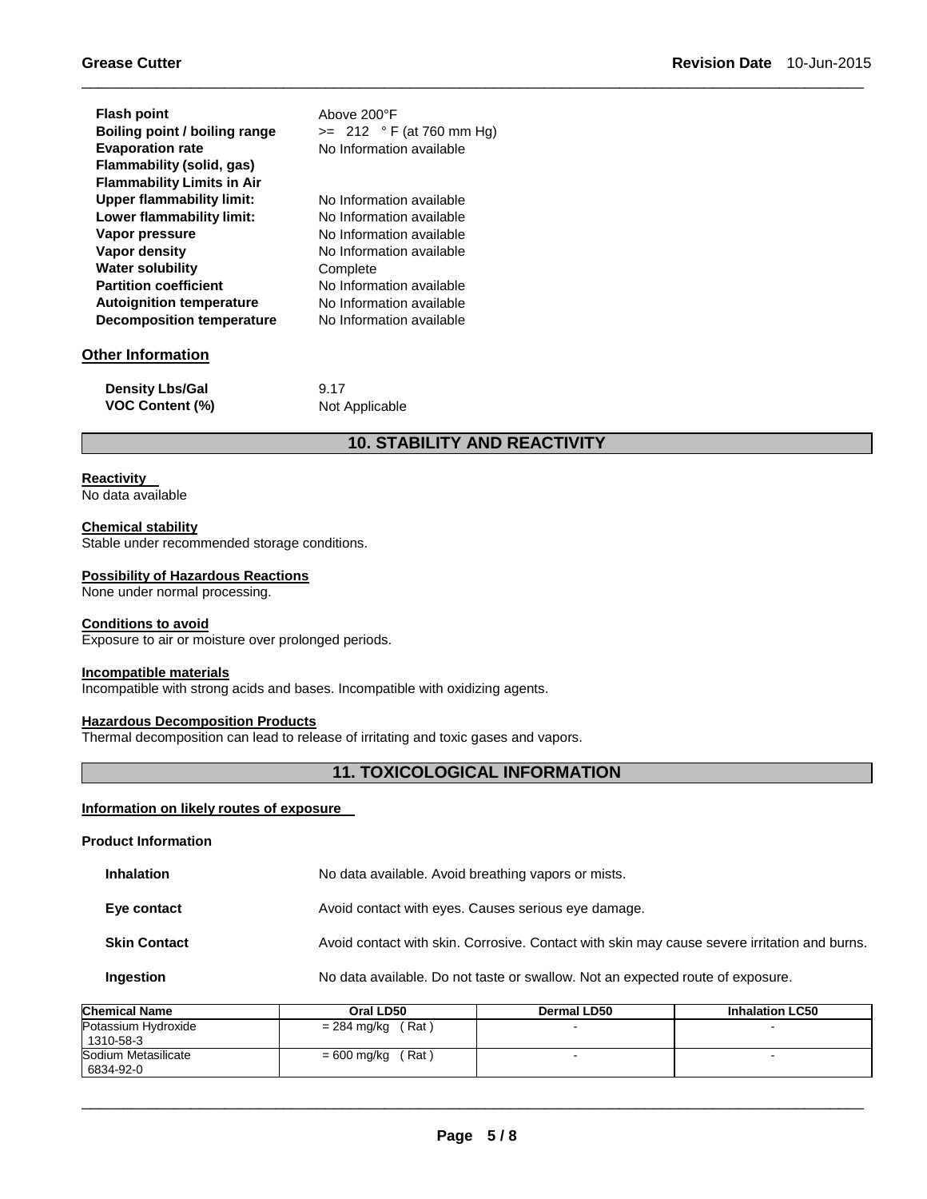| <b>Flash point</b>                | Above 200°F                |
|-----------------------------------|----------------------------|
| Boiling point / boiling range     | $>= 212 °F (at 760 mm Hg)$ |
| <b>Evaporation rate</b>           | No Information available   |
| Flammability (solid, gas)         |                            |
| <b>Flammability Limits in Air</b> |                            |
| <b>Upper flammability limit:</b>  | No Information available   |
| Lower flammability limit:         | No Information available   |
| Vapor pressure                    | No Information available   |
| Vapor density                     | No Information available   |
| <b>Water solubility</b>           | Complete                   |
| <b>Partition coefficient</b>      | No Information available   |
| <b>Autoignition temperature</b>   | No Information available   |
| <b>Decomposition temperature</b>  | No Information available   |
| <b>Other Information</b>          |                            |
| .                                 |                            |

| <b>Density Lbs/Gal</b> | 9.17           |
|------------------------|----------------|
| <b>VOC Content (%)</b> | Not Applicable |

# **10. STABILITY AND REACTIVITY**

\_\_\_\_\_\_\_\_\_\_\_\_\_\_\_\_\_\_\_\_\_\_\_\_\_\_\_\_\_\_\_\_\_\_\_\_\_\_\_\_\_\_\_\_\_\_\_\_\_\_\_\_\_\_\_\_\_\_\_\_\_\_\_\_\_\_\_\_\_\_\_\_\_\_\_\_\_\_\_\_\_\_\_\_\_\_\_\_\_\_\_\_\_

### **Reactivity**

No data available

#### **Chemical stability**

Stable under recommended storage conditions.

# **Possibility of Hazardous Reactions**

None under normal processing.

# **Conditions to avoid**

Exposure to air or moisture over prolonged periods.

# **Incompatible materials**

Incompatible with strong acids and bases. Incompatible with oxidizing agents.

# **Hazardous Decomposition Products**

Thermal decomposition can lead to release of irritating and toxic gases and vapors.

# **11. TOXICOLOGICAL INFORMATION**

# **Information on likely routes of exposure**

**Product Information** 

| <b>Inhalation</b> | No data available. Avoid breathing vapors or mists. |
|-------------------|-----------------------------------------------------|
|                   |                                                     |

**Eye contact Exercise 3** Avoid contact with eyes. Causes serious eye damage.

# **Skin Contact Avoid contact with skin. Corrosive. Contact with skin may cause severe irritation and burns.**

### **Ingestion No data available. Do not taste or swallow. Not an expected route of exposure.**

| Chemical Name                      | Oral LD50            | Dermal LD50 | <b>Inhalation LC50</b> |
|------------------------------------|----------------------|-------------|------------------------|
| Potassium Hydroxide<br>  1310-58-3 | $= 284$ mg/kg (Rat)  |             | -                      |
| Sodium Metasilicate<br>6834-92-0   | (Rat)<br>= 600 mg/kg |             | -                      |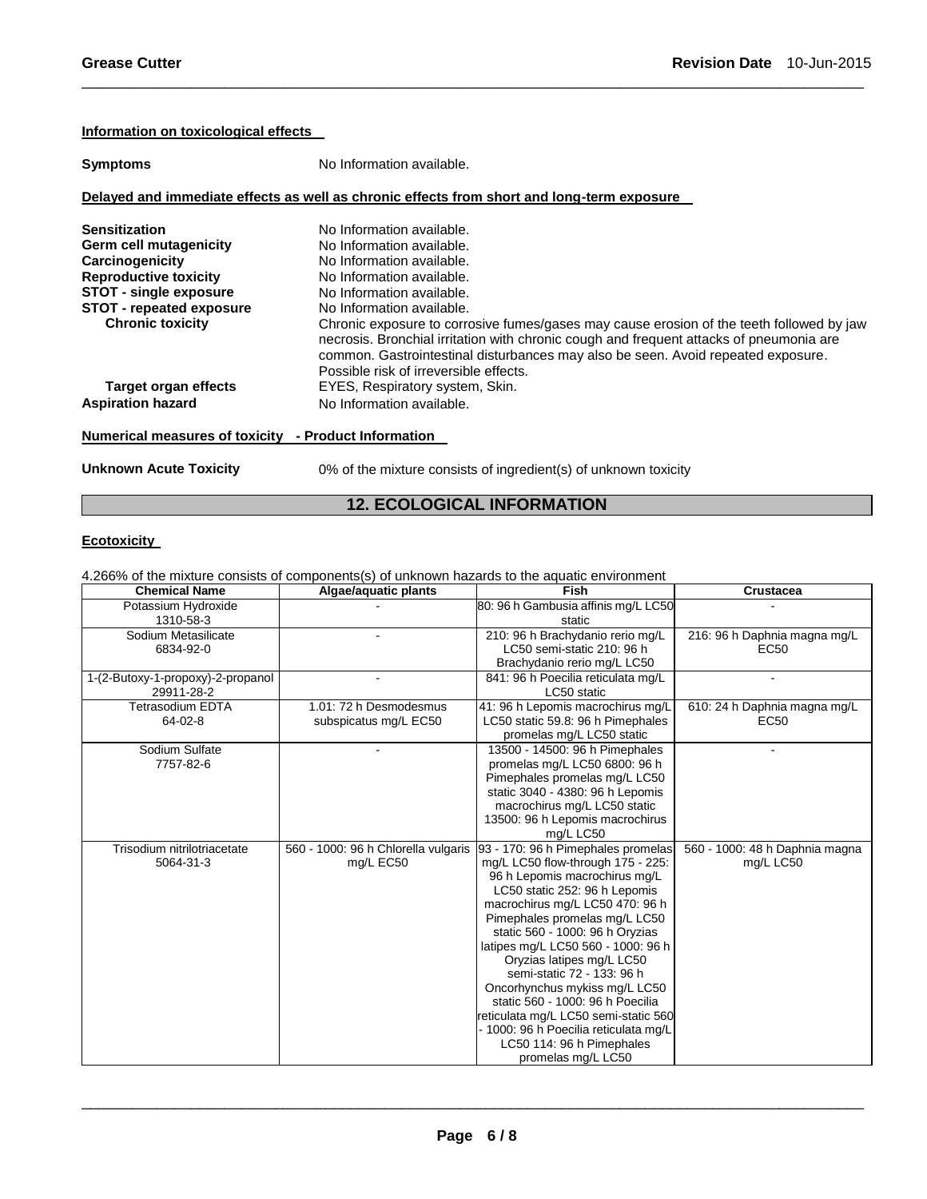#### **Information on toxicological effects**

| <b>Symptoms</b>               | No Information available.                                                                                                                                                                                                                                                                                         |  |  |
|-------------------------------|-------------------------------------------------------------------------------------------------------------------------------------------------------------------------------------------------------------------------------------------------------------------------------------------------------------------|--|--|
|                               | Delayed and immediate effects as well as chronic effects from short and long-term exposure                                                                                                                                                                                                                        |  |  |
| <b>Sensitization</b>          | No Information available.                                                                                                                                                                                                                                                                                         |  |  |
| Germ cell mutagenicity        | No Information available.                                                                                                                                                                                                                                                                                         |  |  |
| Carcinogenicity               | No Information available.                                                                                                                                                                                                                                                                                         |  |  |
| <b>Reproductive toxicity</b>  | No Information available.                                                                                                                                                                                                                                                                                         |  |  |
| <b>STOT - single exposure</b> | No Information available.                                                                                                                                                                                                                                                                                         |  |  |
| STOT - repeated exposure      | No Information available.                                                                                                                                                                                                                                                                                         |  |  |
| <b>Chronic toxicity</b>       | Chronic exposure to corrosive fumes/gases may cause erosion of the teeth followed by jaw<br>necrosis. Bronchial irritation with chronic cough and frequent attacks of pneumonia are<br>common. Gastrointestinal disturbances may also be seen. Avoid repeated exposure.<br>Possible risk of irreversible effects. |  |  |
| Target organ effects          | EYES, Respiratory system, Skin.                                                                                                                                                                                                                                                                                   |  |  |
| <b>Aspiration hazard</b>      | No Information available.                                                                                                                                                                                                                                                                                         |  |  |

\_\_\_\_\_\_\_\_\_\_\_\_\_\_\_\_\_\_\_\_\_\_\_\_\_\_\_\_\_\_\_\_\_\_\_\_\_\_\_\_\_\_\_\_\_\_\_\_\_\_\_\_\_\_\_\_\_\_\_\_\_\_\_\_\_\_\_\_\_\_\_\_\_\_\_\_\_\_\_\_\_\_\_\_\_\_\_\_\_\_\_\_\_

# **Numerical measures of toxicity - Product Information**

**Unknown Acute Toxicity** 0% of the mixture consists of ingredient(s) of unknown toxicity

# **12. ECOLOGICAL INFORMATION**

# **Ecotoxicity**

4.266% of the mixture consists of components(s) of unknown hazards to the aquatic environment

| <b>Chemical Name</b>              | Algae/aquatic plants                | Fish                                                           | <b>Crustacea</b>               |
|-----------------------------------|-------------------------------------|----------------------------------------------------------------|--------------------------------|
| Potassium Hydroxide               |                                     | 80: 96 h Gambusia affinis mg/L LC50                            |                                |
| 1310-58-3                         |                                     | static                                                         |                                |
| Sodium Metasilicate               |                                     | 210: 96 h Brachydanio rerio mg/L                               | 216: 96 h Daphnia magna mg/L   |
| 6834-92-0                         |                                     | LC50 semi-static 210: 96 h                                     | EC50                           |
|                                   |                                     | Brachydanio rerio mg/L LC50                                    |                                |
| 1-(2-Butoxy-1-propoxy)-2-propanol |                                     | 841: 96 h Poecilia reticulata mg/L                             |                                |
| 29911-28-2                        |                                     | LC50 static                                                    |                                |
| <b>Tetrasodium EDTA</b>           | 1.01: 72 h Desmodesmus              | 41: 96 h Lepomis macrochirus mg/L                              | 610: 24 h Daphnia magna mg/L   |
| $64 - 02 - 8$                     | subspicatus mg/L EC50               | LC50 static 59.8: 96 h Pimephales                              | EC50                           |
|                                   |                                     | promelas mg/L LC50 static                                      |                                |
| Sodium Sulfate                    |                                     | 13500 - 14500: 96 h Pimephales                                 |                                |
| 7757-82-6                         |                                     | promelas mg/L LC50 6800: 96 h                                  |                                |
|                                   |                                     | Pimephales promelas mg/L LC50                                  |                                |
|                                   |                                     | static 3040 - 4380: 96 h Lepomis                               |                                |
|                                   |                                     | macrochirus mg/L LC50 static                                   |                                |
|                                   |                                     | 13500: 96 h Lepomis macrochirus                                |                                |
|                                   |                                     | mg/L LC50                                                      |                                |
| Trisodium nitrilotriacetate       | 560 - 1000: 96 h Chlorella vulgaris | 93 - 170: 96 h Pimephales promelas                             | 560 - 1000: 48 h Daphnia magna |
| 5064-31-3                         | mg/L EC50                           | mg/L LC50 flow-through 175 - 225:                              | mg/L LC50                      |
|                                   |                                     | 96 h Lepomis macrochirus mg/L<br>LC50 static 252: 96 h Lepomis |                                |
|                                   |                                     | macrochirus mg/L LC50 470: 96 h                                |                                |
|                                   |                                     | Pimephales promelas mg/L LC50                                  |                                |
|                                   |                                     | static 560 - 1000: 96 h Oryzias                                |                                |
|                                   |                                     | latipes mg/L LC50 560 - 1000: 96 h                             |                                |
|                                   |                                     | Oryzias latipes mg/L LC50                                      |                                |
|                                   |                                     | semi-static 72 - 133: 96 h                                     |                                |
|                                   |                                     | Oncorhynchus mykiss mg/L LC50                                  |                                |
|                                   |                                     | static 560 - 1000: 96 h Poecilia                               |                                |
|                                   |                                     | reticulata mg/L LC50 semi-static 560                           |                                |
|                                   |                                     | - 1000: 96 h Poecilia reticulata mg/L                          |                                |
|                                   |                                     | LC50 114: 96 h Pimephales                                      |                                |
|                                   |                                     | promelas mg/L LC50                                             |                                |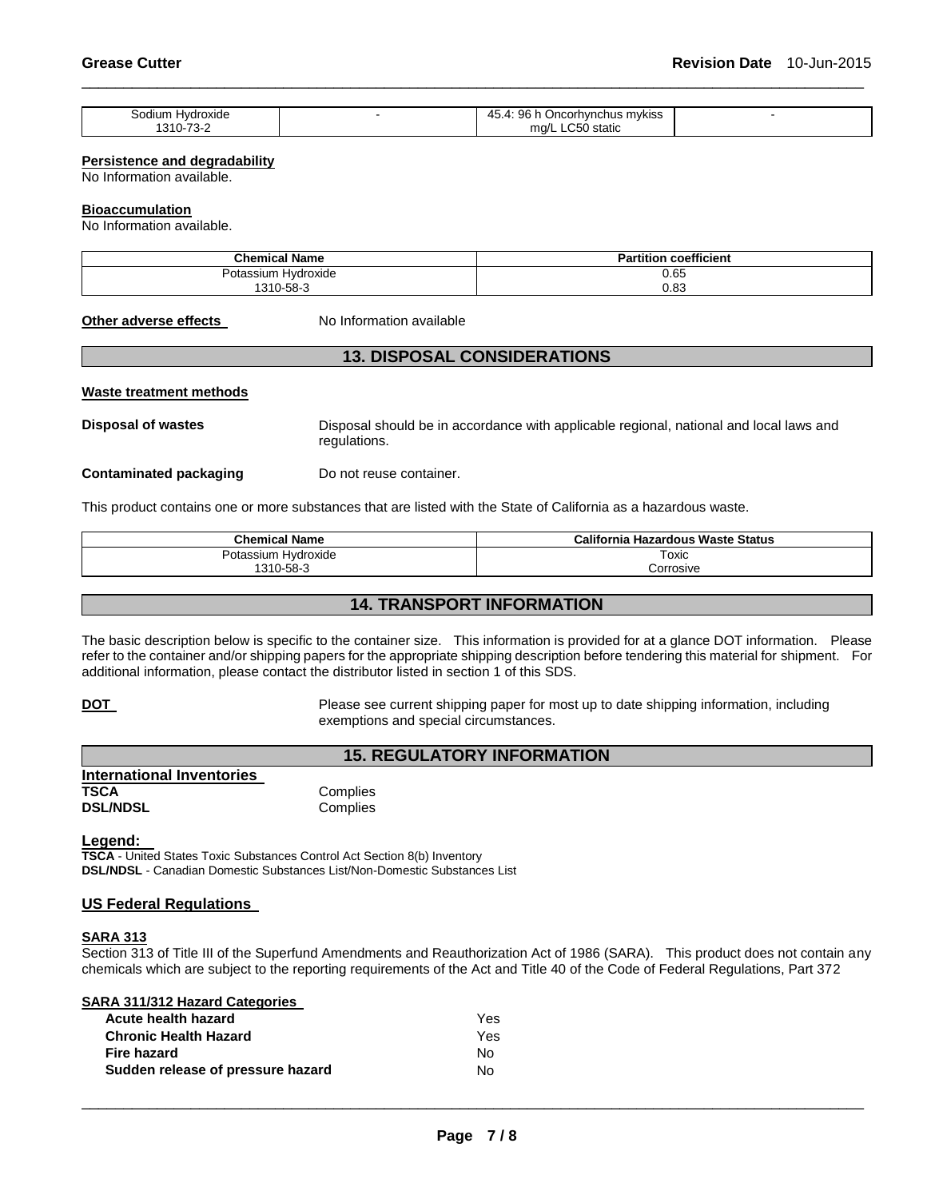| Hvdroxide<br>sodium | 96 <sub>1</sub><br>Oncorhynchus mykiss<br>. А<br>4⊾<br><b>TW.</b> |  |
|---------------------|-------------------------------------------------------------------|--|
| 310-73-2            | $\sim$ $\sim$<br>static<br>ma/L<br>$\ddot{\phantom{1}}$<br>.      |  |

\_\_\_\_\_\_\_\_\_\_\_\_\_\_\_\_\_\_\_\_\_\_\_\_\_\_\_\_\_\_\_\_\_\_\_\_\_\_\_\_\_\_\_\_\_\_\_\_\_\_\_\_\_\_\_\_\_\_\_\_\_\_\_\_\_\_\_\_\_\_\_\_\_\_\_\_\_\_\_\_\_\_\_\_\_\_\_\_\_\_\_\_\_

#### **Persistence and degradability**

No Information available.

#### **Bioaccumulation**

No Information available.

| <b>Chemical Name</b>            | <b>Partition coefficient</b> |
|---------------------------------|------------------------------|
| . .<br>Hvdroxide<br>Potassium ! |                              |
| 1310-58-3                       | $0.65$<br>$0.83$             |

#### **Other adverse effects** No Information available

# **13. DISPOSAL CONSIDERATIONS**

#### **Waste treatment methods**

**Disposal of wastes** Disposal should be in accordance with applicable regional, national and local laws and regulations.

**Contaminated packaging by Do not reuse container.** 

This product contains one or more substances that are listed with the State of California as a hazardous waste.

| <b>Chemical Name</b> | California Hazardous Waste Status |
|----------------------|-----------------------------------|
| Potassium Hvdroxide  | Toxic                             |
| 1310-58-3            | orrosive;                         |

# **14. TRANSPORT INFORMATION**

The basic description below is specific to the container size. This information is provided for at a glance DOT information. Please refer to the container and/or shipping papers for the appropriate shipping description before tendering this material for shipment. For additional information, please contact the distributor listed in section 1 of this SDS.

**DOT Please see current shipping paper for most up to date shipping information, including** exemptions and special circumstances.

# **15. REGULATORY INFORMATION**

| <b>International Inventories</b> |          |
|----------------------------------|----------|
| TSCA                             | Complies |
| <b>DSL/NDSL</b>                  | Complies |

**Legend:** 

**TSCA** - United States Toxic Substances Control Act Section 8(b) Inventory **DSL/NDSL** - Canadian Domestic Substances List/Non-Domestic Substances List

### **US Federal Regulations**

#### **SARA 313**

Section 313 of Title III of the Superfund Amendments and Reauthorization Act of 1986 (SARA). This product does not contain any chemicals which are subject to the reporting requirements of the Act and Title 40 of the Code of Federal Regulations, Part 372

**SARA 311/312 Hazard Categories** 

| Acute health hazard               | <b>Yes</b> |
|-----------------------------------|------------|
| <b>Chronic Health Hazard</b>      | Yes.       |
| Fire hazard                       | No.        |
| Sudden release of pressure hazard | Nο         |
|                                   |            |